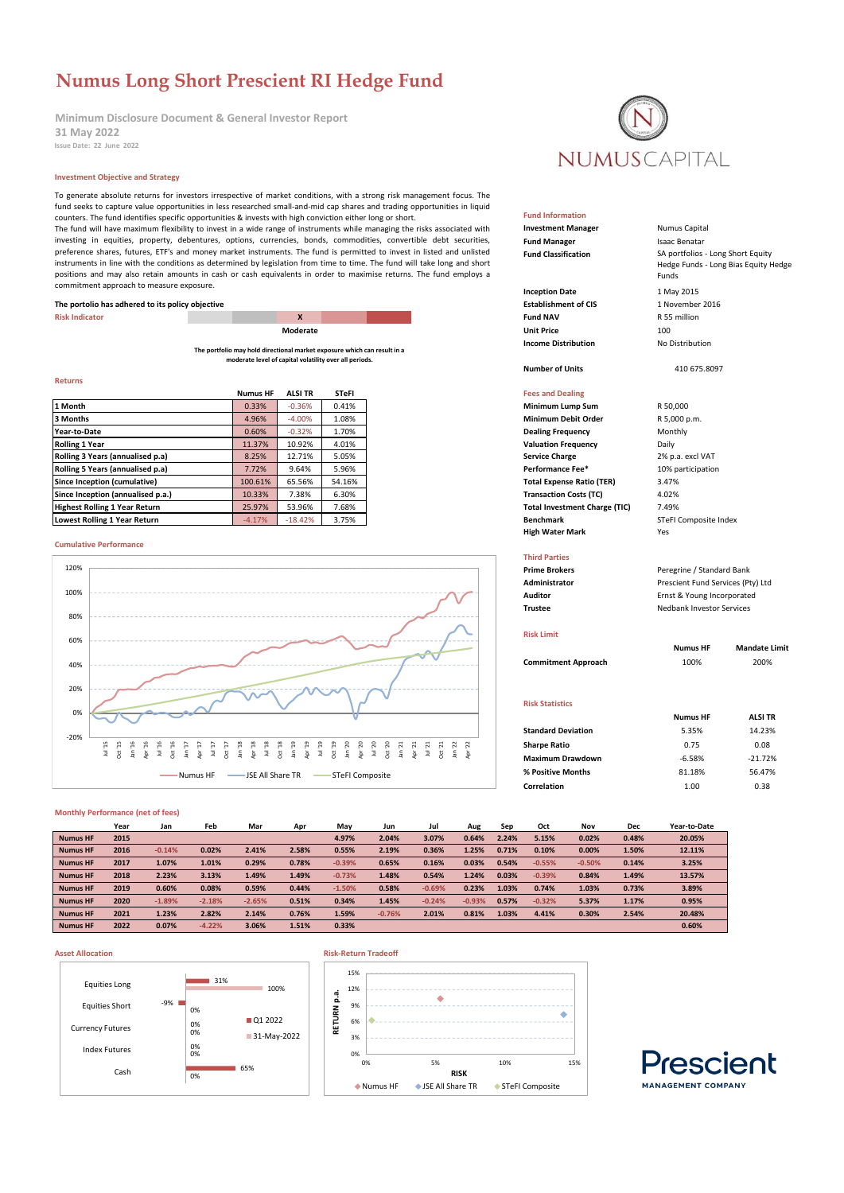# **Numus Long Short Prescient RI Hedge Fund**

**Minimum Disclosure Document & General Investor Report Issue Date: 22 June 2022 31 May 2022**

# **Investment Objective and Strategy**

To generate absolute returns for investors irrespective of market conditions, with a strong risk management focus. The fund seeks to capture value opportunities in less researched small-and-mid cap shares and trading opportunities in liquid counters. The fund identifies specific opportunities & invests with high conviction either long or short. The fund will have maximum flexibility to invest in a wide range of instruments while managing the risks associated with investing in equities, property, debentures, options, currencies, bonds, commodities, convertible debt securities, preference shares, futures, ETF's and money market instruments. The fund is permitted to invest in listed and unlisted instruments in line with the conditions as determined by legislation from time to time. The fund will take long and short positions and may also retain amounts in cash or cash equivalents in order to maximise returns. The fund employs a commitment approach to measure exposure.

# **The portolio has adhered to its policy objective**

**The portfolio may hold directional market exposure which can result in a moderate level of capital volatility over all periods.**

# **Returns**

|                                      | <b>Numus HF</b> | <b>ALSI TR</b> | <b>STeFI</b> | <b>Fees and Dealing</b>                       |
|--------------------------------------|-----------------|----------------|--------------|-----------------------------------------------|
| 1 Month                              | 0.33%           | $-0.36%$       | 0.41%        | Minimum Lump Sum<br>R 50,000                  |
| 3 Months                             | 4.96%           | $-4.00%$       | 1.08%        | <b>Minimum Debit Order</b><br>R 5,000 p.m.    |
| Year-to-Date                         | 0.60%           | $-0.32%$       | 1.70%        | Monthly<br><b>Dealing Frequency</b>           |
| <b>Rolling 1 Year</b>                | 11.37%          | 10.92%         | 4.01%        | <b>Valuation Frequency</b><br>Daily           |
| Rolling 3 Years (annualised p.a)     | 8.25%           | 12.71%         | 5.05%        | <b>Service Charge</b><br>2% p.a. excl VA1     |
| Rolling 5 Years (annualised p.a)     | 7.72%           | 9.64%          | 5.96%        | Performance Fee*<br>10% participatio          |
| Since Inception (cumulative)         | 100.61%         | 65.56%         | 54.16%       | <b>Total Expense Ratio (TER)</b><br>3.47%     |
| Since Inception (annualised p.a.)    | 10.33%          | 7.38%          | 6.30%        | <b>Transaction Costs (TC)</b><br>4.02%        |
| <b>Highest Rolling 1 Year Return</b> | 25.97%          | 53.96%         | 7.68%        | <b>Total Investment Charge (TIC)</b><br>7.49% |
| Lowest Rolling 1 Year Return         | $-4.17%$        | $-18.42%$      | 3.75%        | <b>Benchmark</b><br><b>STeFI Composite</b>    |

# **Cumulative Performance**



### **Monthly Performance (net of fees)**

|                 | Year | Jan      | Feb      | Mar      | Apr   | May      | Jun      | Jul      | Aug      | Sep   | Oct      | Nov      | Dec   | Year-to-Date |
|-----------------|------|----------|----------|----------|-------|----------|----------|----------|----------|-------|----------|----------|-------|--------------|
| <b>Numus HF</b> | 2015 |          |          |          |       | 4.97%    | 2.04%    | 3.07%    | 0.64%    | 2.24% | 5.15%    | 0.02%    | 0.48% | 20.05%       |
| <b>Numus HF</b> | 2016 | $-0.14%$ | 0.02%    | 2.41%    | 2.58% | 0.55%    | 2.19%    | 0.36%    | 1.25%    | 0.71% | 0.10%    | 0.00%    | 1.50% | 12.11%       |
| <b>Numus HF</b> | 2017 | 1.07%    | 1.01%    | 0.29%    | 0.78% | $-0.39%$ | 0.65%    | 0.16%    | 0.03%    | 0.54% | $-0.55%$ | $-0.50%$ | 0.14% | 3.25%        |
| <b>Numus HF</b> | 2018 | 2.23%    | 3.13%    | 1.49%    | 1.49% | $-0.73%$ | 1.48%    | 0.54%    | 1.24%    | 0.03% | $-0.39%$ | 0.84%    | 1.49% | 13.57%       |
| <b>Numus HF</b> | 2019 | 0.60%    | 0.08%    | 0.59%    | 0.44% | $-1.50%$ | 0.58%    | $-0.69%$ | 0.23%    | 1.03% | 0.74%    | 1.03%    | 0.73% | 3.89%        |
| <b>Numus HF</b> | 2020 | $-1.89%$ | $-2.18%$ | $-2.65%$ | 0.51% | 0.34%    | 1.45%    | $-0.24%$ | $-0.93%$ | 0.57% | $-0.32%$ | 5.37%    | 1.17% | 0.95%        |
| <b>Numus HF</b> | 2021 | 1.23%    | 2.82%    | 2.14%    | 0.76% | 1.59%    | $-0.76%$ | 2.01%    | 0.81%    | 1.03% | 4.41%    | 0.30%    | 2.54% | 20.48%       |
| <b>Numus HF</b> | 2022 | 0.07%    | $-4.22%$ | 3.06%    | 1.51% | 0.33%    |          |          |          |       |          |          |       | 0.60%        |

# **Asset Allocation Risk-Return Tradeoff**







SA portfolios - Long Short Equity Hedge Funds - Long Bias Equity Hedge

Funds

**Fund Information**

**Investment Manager** Numus Capital **Fund Manager Isaac Benatar Fund Classification**

**Inception Date** 1 May 2015<br> **Establishment of CIS** 1 November 2016 **Risk Indicator X Fund NAV** R 55 million **Moderate Unit Price** 100 **Income Distribution** No Distribution

### **Number of Units** 410 675.8097

**Fees and Dealing 1 Minimum Lump Sum** R 50,000 **Performance Fee\*** 10% participation **Total Expense Ratio (TER)** 3.47%<br>**Transaction Costs (TC)** 4.02% **Fotal Investment Charge (TIC)** 7.49% **Lowest Renchmark Benchmark** STeFI Composite Index **High Water Mark** Yes

### **Third Parties**

**Prime Brokers Peregrine / Standard Bank Administrator** Prescient Fund Services (Pty) Ltd **Auditor** Ernst & Young Incorporated **Trustee** Nedbank Investor Services

### **Risk Limit**

**Commitment Approach** 100% 200%

# **Risk Statistics**

| <b>Standard Deviation</b> | 5.35%    | 14.23%    |
|---------------------------|----------|-----------|
| <b>Sharpe Ratio</b>       | 0.75     | 0.08      |
| <b>Maximum Drawdown</b>   | $-6.58%$ | $-21.72%$ |
| % Positive Months         | 81.18%   | 56.47%    |
| Correlation               | 1.00     | 0.38      |
|                           |          |           |

**Numus HF Mandate Limit**

**Numus HF ALSI TR**

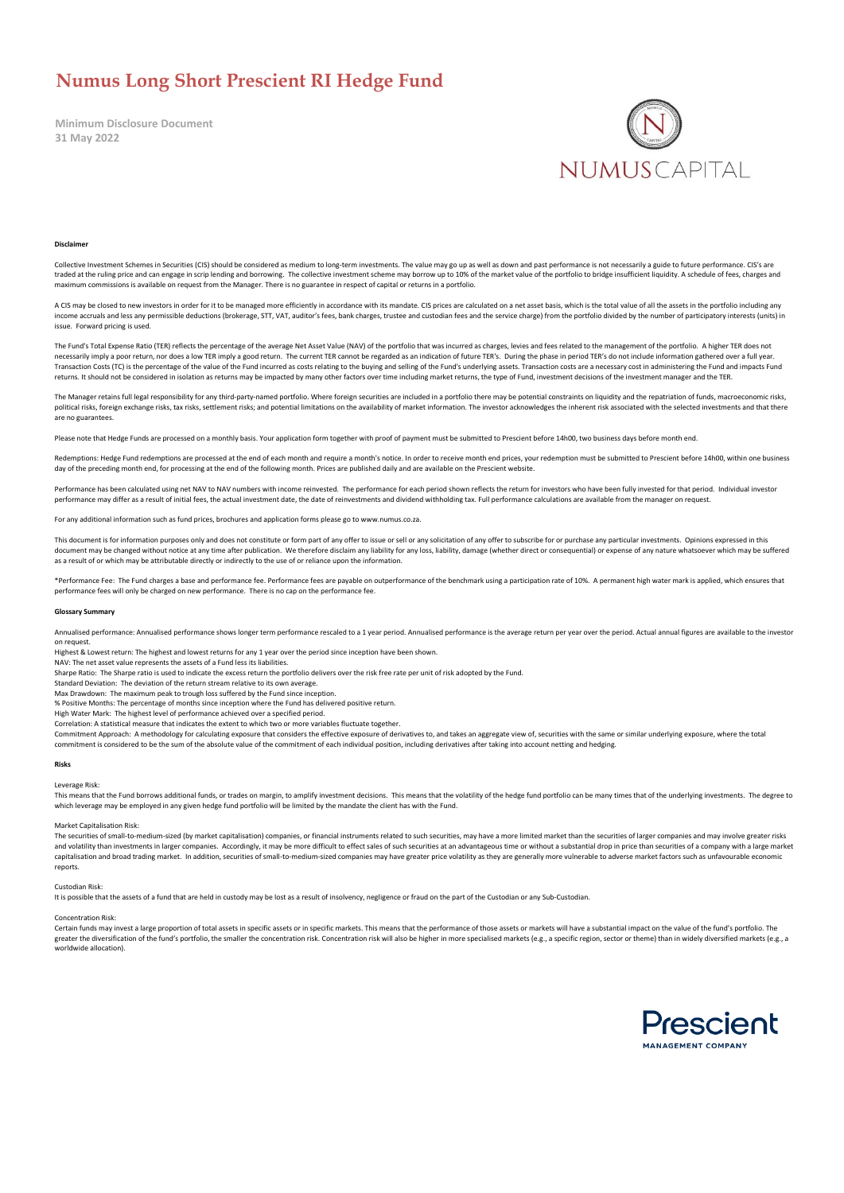# **Numus Long Short Prescient RI Hedge Fund**

**Minimum Disclosure Document 31 May 2022**



### **Disclaime**

Collective Investment Schemes in Securities (CIS) should be considered as medium to long-term investments. The value may go up as well as down and past performance is not necessarily a guide to future performance. CIS's ar maximum commissions is available on request from the Manager. There is no guarantee in respect of capital or returns in a portfolio.

A CIS may be closed to new investors in order for it to be managed more efficiently in accordance with its mandate. CIS prices are calculated on a net asset basis, which is the total value of all the assets in the portfoli income accruals and less any permissible deductions (brokerage, STT, VAT, auditor's fees, bank charges, trustee and custodian fees and the service charge) from the portfolio divided by the number of participatory interests issue. Forward pricing is us

The Fund's Total Expense Ratio (TER) reflects the percentage of the average Net Asset Value (NAV) of the portfolio that was incurred as charges, levies and fees related to the management of the portfolio. A higher TER does necessarily imply a poor return, nor does a low TER imply a good return. The current TER cannot be regarded as an indication of future TER's. During the phase in period TER's do not include information gathered over a full Transaction Costs (TC) is the percentage of the value of the Fund incurred as costs relating to the buying and selling of the Fund's underlying assets. Transaction costs are a necessary cost in administering the Fund and i returns. It should not be considered in isolation as returns may be impacted by many other factors over time including market returns, the type of Fund, investment decisions of the investment manager and the TER.

The Manager retains full legal responsibility for any third-party-named portfolio. Where foreign securities are included in a portfolio there may be potential constraints on liquidity and the repatriation of funds, macroec political risks, foreign exchange risks, tax risks, settlement risks; and potential limitations on the availability of market information. The investor acknowledges the inherent risk associated with the selected investment are no guarantees.

Please note that Hedge Funds are processed on a monthly basis. Your application form together with proof of payment must be submitted to Prescient before 14h00, two business days before month end.

Redemptions: Hedge Fund redemptions are processed at the end of each month and require a month's notice. In order to receive month end prices, your redemption must be submitted to Prescient before 14h00, within one busines day of the preceding month end, for processing at the end of the following month. Prices are published daily and are available on the Prescient website.

Performance has been calculated using net NAV to NAV numbers with income reinvested. The performance for each period shown reflects the return for investors who have been fully invested for that period. Individual investor performance may differ as a result of initial fees, the actual investment date, the date of reinvestments and dividend withholding tax. Full performance calculations are available from the manager on request.

For any additional information such as fund prices, brochures and application forms please go to www.numus.co.za.

This document is for information purposes only and does not constitute or form part of any offer to issue or sell or any solicitation of any offer to subscribe for or purchase any particular investments. Opinions expressed document may be changed without notice at any time after publication. We therefore disclaim any liability for any loss, liability, damage (whether direct or consequential) or expense of any nature whatsoever which may be s as a result of or which may be attributable directly or indirectly to the use of or reliance upon the information.

\*Performance Fee: The Fund charges a base and performance fee. Performance fees are payable on outperformance of the benchmark using a participation rate of 10%. A permanent high water mark is applied, which ensures that performance fees will only be charged on new performance. There is no cap on the performance fee.

### **Glossary Summary**

Annualised performance: Annualised performance shows longer term performance rescaled to a 1 year period. Annualised performance is the average return per year over the period. Actual annual figures are available to the in on request.

Highest & Lowest return: The highest and lowest returns for any 1 year over the period since inception have been shown.

NAV: The net asset value represents the assets of a Fund less its liabilities. Sharpe Ratio: The Sharpe ratio is used to indicate the excess return the portfolio delivers over the risk free rate per unit of risk adopted by the Fund.

Standard Deviation: The deviation of the return stream relative to its own average.

Max Drawdown: The maximum peak to trough loss suffered by the Fund since inception.

% Positive Months: The percentage of months since inception where the Fund has delivered positive return.

High Water Mark: The highest level of performance achieved over a specified period.

Correlation: A statistical measure that indicates the extent to which two or more variables fluctuate together.

Commitment Approach: A methodology for calculating exposure that considers the effective exposure of derivatives to, and takes an aggregate view of, securities with the same or similar underlying exposure, where the total<br>

### **Risks**

Leverage Risk:

This means that the Fund borrows additional funds, or trades on margin, to amplify investment decisions. This means that the volatility of the hedge fund portfolio can be many times that of the underlying investments. The which leverage may be employed in any given hedge fund portfolio will be limited by the mandate the client has with the Fund.

## Market Capitalisation Risk:

The securities of small-to-medium-sized (by market capitalisation) companies, or financial instruments related to such securities, may have a more limited market than the securities of larger companies and may involve grea and volatility than investments in larger companies. Accordingly, it may be more difficult to effect sales of such securities at an advantageous time or without a substantial drop in price than securities of a company with capitalisation and broad trading market. In addition, securities of small-to-medium-sized companies may have greater price volatility as they are generally more vulnerable to adverse market factors such as unfavourable eco reports.

# Custodian Risk:

It is possible that the assets of a fund that are held in custody may be lost as a result of insolvency, negligence or fraud on the part of the Custodian or any Sub-Custodian.

### Concentration Risk:

Certain funds may invest a large proportion of total assets in specific assets or in specific markets. This means that the performance of those assets or markets will have a substantial impact on the value of the fund's po greater the diversification of the fund's portfolio, the smaller the concentration risk. Concentration risk will also be higher in more specialised markets (e.g., a specific region, sector or theme) than in widely diversif worldwide allocation).